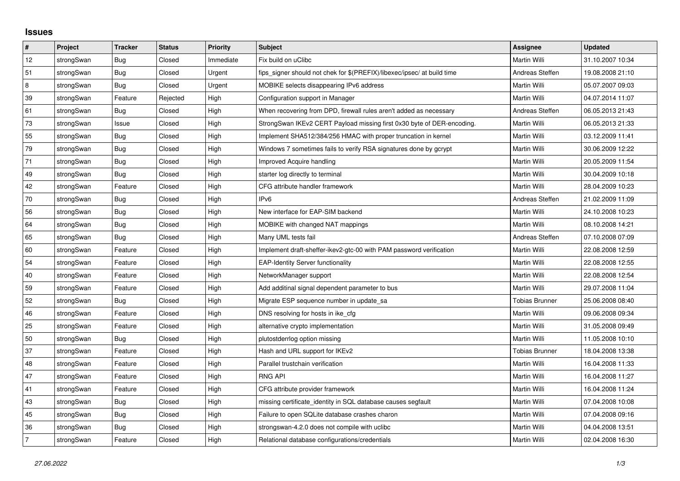## **Issues**

| $\pmb{\#}$  | Project    | <b>Tracker</b> | <b>Status</b> | <b>Priority</b> | <b>Subject</b>                                                          | <b>Assignee</b>       | <b>Updated</b>   |
|-------------|------------|----------------|---------------|-----------------|-------------------------------------------------------------------------|-----------------------|------------------|
| $12\,$      | strongSwan | <b>Bug</b>     | Closed        | Immediate       | Fix build on uClibc                                                     | Martin Willi          | 31.10.2007 10:34 |
| 51          | strongSwan | Bug            | Closed        | Urgent          | fips signer should not chek for \$(PREFIX)/libexec/ipsec/ at build time | Andreas Steffen       | 19.08.2008 21:10 |
| $\,$ 8 $\,$ | strongSwan | Bug            | Closed        | Urgent          | MOBIKE selects disappearing IPv6 address                                | Martin Willi          | 05.07.2007 09:03 |
| 39          | strongSwan | Feature        | Rejected      | High            | Configuration support in Manager                                        | Martin Willi          | 04.07.2014 11:07 |
| 61          | strongSwan | Bug            | Closed        | High            | When recovering from DPD, firewall rules aren't added as necessary      | Andreas Steffen       | 06.05.2013 21:43 |
| 73          | strongSwan | Issue          | Closed        | High            | StrongSwan IKEv2 CERT Payload missing first 0x30 byte of DER-encoding.  | Martin Willi          | 06.05.2013 21:33 |
| 55          | strongSwan | Bug            | Closed        | High            | Implement SHA512/384/256 HMAC with proper truncation in kernel          | Martin Willi          | 03.12.2009 11:41 |
| 79          | strongSwan | Bug            | Closed        | High            | Windows 7 sometimes fails to verify RSA signatures done by gcrypt       | Martin Willi          | 30.06.2009 12:22 |
| 71          | strongSwan | Bug            | Closed        | High            | Improved Acquire handling                                               | Martin Willi          | 20.05.2009 11:54 |
| 49          | strongSwan | Bug            | Closed        | High            | starter log directly to terminal                                        | Martin Willi          | 30.04.2009 10:18 |
| 42          | strongSwan | Feature        | Closed        | High            | CFG attribute handler framework                                         | Martin Willi          | 28.04.2009 10:23 |
| 70          | strongSwan | Bug            | Closed        | High            | IPv6                                                                    | Andreas Steffen       | 21.02.2009 11:09 |
| 56          | strongSwan | Bug            | Closed        | High            | New interface for EAP-SIM backend                                       | Martin Willi          | 24.10.2008 10:23 |
| 64          | strongSwan | <b>Bug</b>     | Closed        | High            | MOBIKE with changed NAT mappings                                        | Martin Willi          | 08.10.2008 14:21 |
| 65          | strongSwan | Bug            | Closed        | High            | Many UML tests fail                                                     | Andreas Steffen       | 07.10.2008 07:09 |
| 60          | strongSwan | Feature        | Closed        | High            | Implement draft-sheffer-ikev2-gtc-00 with PAM password verification     | Martin Willi          | 22.08.2008 12:59 |
| 54          | strongSwan | Feature        | Closed        | High            | <b>EAP-Identity Server functionality</b>                                | Martin Willi          | 22.08.2008 12:55 |
| 40          | strongSwan | Feature        | Closed        | High            | NetworkManager support                                                  | Martin Willi          | 22.08.2008 12:54 |
| 59          | strongSwan | Feature        | Closed        | High            | Add additinal signal dependent parameter to bus                         | Martin Willi          | 29.07.2008 11:04 |
| 52          | strongSwan | Bug            | Closed        | High            | Migrate ESP sequence number in update sa                                | Tobias Brunner        | 25.06.2008 08:40 |
| 46          | strongSwan | Feature        | Closed        | High            | DNS resolving for hosts in ike_cfg                                      | Martin Willi          | 09.06.2008 09:34 |
| 25          | strongSwan | Feature        | Closed        | High            | alternative crypto implementation                                       | Martin Willi          | 31.05.2008 09:49 |
| 50          | strongSwan | Bug            | Closed        | High            | plutostderrlog option missing                                           | Martin Willi          | 11.05.2008 10:10 |
| 37          | strongSwan | Feature        | Closed        | High            | Hash and URL support for IKEv2                                          | <b>Tobias Brunner</b> | 18.04.2008 13:38 |
| 48          | strongSwan | Feature        | Closed        | High            | Parallel trustchain verification                                        | Martin Willi          | 16.04.2008 11:33 |
| 47          | strongSwan | Feature        | Closed        | High            | <b>RNG API</b>                                                          | Martin Willi          | 16.04.2008 11:27 |
| 41          | strongSwan | Feature        | Closed        | High            | CFG attribute provider framework                                        | Martin Willi          | 16.04.2008 11:24 |
| 43          | strongSwan | Bug            | Closed        | High            | missing certificate identity in SQL database causes segfault            | Martin Willi          | 07.04.2008 10:08 |
| 45          | strongSwan | Bug            | Closed        | High            | Failure to open SQLite database crashes charon                          | Martin Willi          | 07.04.2008 09:16 |
| 36          | strongSwan | Bug            | Closed        | High            | strongswan-4.2.0 does not compile with uclibc                           | Martin Willi          | 04.04.2008 13:51 |
| 7           | strongSwan | Feature        | Closed        | High            | Relational database configurations/credentials                          | Martin Willi          | 02.04.2008 16:30 |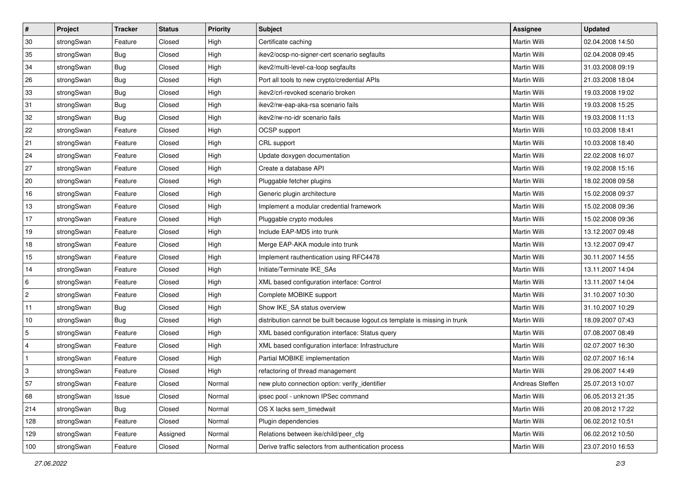| #              | Project    | <b>Tracker</b> | <b>Status</b> | <b>Priority</b> | <b>Subject</b>                                                              | Assignee            | <b>Updated</b>   |
|----------------|------------|----------------|---------------|-----------------|-----------------------------------------------------------------------------|---------------------|------------------|
| 30             | strongSwan | Feature        | Closed        | High            | Certificate caching                                                         | Martin Willi        | 02.04.2008 14:50 |
| 35             | strongSwan | <b>Bug</b>     | Closed        | High            | ikev2/ocsp-no-signer-cert scenario segfaults                                | Martin Willi        | 02.04.2008 09:45 |
| 34             | strongSwan | Bug            | Closed        | High            | ikev2/multi-level-ca-loop segfaults                                         | Martin Willi        | 31.03.2008 09:19 |
| 26             | strongSwan | Bug            | Closed        | High            | Port all tools to new crypto/credential APIs                                | <b>Martin Willi</b> | 21.03.2008 18:04 |
| 33             | strongSwan | Bug            | Closed        | High            | ikev2/crl-revoked scenario broken                                           | <b>Martin Willi</b> | 19.03.2008 19:02 |
| 31             | strongSwan | Bug            | Closed        | High            | ikev2/rw-eap-aka-rsa scenario fails                                         | Martin Willi        | 19.03.2008 15:25 |
| 32             | strongSwan | <b>Bug</b>     | Closed        | High            | ikev2/rw-no-idr scenario fails                                              | Martin Willi        | 19.03.2008 11:13 |
| 22             | strongSwan | Feature        | Closed        | High            | OCSP support                                                                | Martin Willi        | 10.03.2008 18:41 |
| 21             | strongSwan | Feature        | Closed        | High            | CRL support                                                                 | Martin Willi        | 10.03.2008 18:40 |
| 24             | strongSwan | Feature        | Closed        | High            | Update doxygen documentation                                                | <b>Martin Willi</b> | 22.02.2008 16:07 |
| 27             | strongSwan | Feature        | Closed        | High            | Create a database API                                                       | Martin Willi        | 19.02.2008 15:16 |
| 20             | strongSwan | Feature        | Closed        | High            | Pluggable fetcher plugins                                                   | Martin Willi        | 18.02.2008 09:58 |
| 16             | strongSwan | Feature        | Closed        | High            | Generic plugin architecture                                                 | <b>Martin Willi</b> | 15.02.2008 09:37 |
| 13             | strongSwan | Feature        | Closed        | High            | Implement a modular credential framework                                    | Martin Willi        | 15.02.2008 09:36 |
| 17             | strongSwan | Feature        | Closed        | High            | Pluggable crypto modules                                                    | <b>Martin Willi</b> | 15.02.2008 09:36 |
| 19             | strongSwan | Feature        | Closed        | High            | Include EAP-MD5 into trunk                                                  | Martin Willi        | 13.12.2007 09:48 |
| 18             | strongSwan | Feature        | Closed        | High            | Merge EAP-AKA module into trunk                                             | Martin Willi        | 13.12.2007 09:47 |
| 15             | strongSwan | Feature        | Closed        | High            | Implement rauthentication using RFC4478                                     | Martin Willi        | 30.11.2007 14:55 |
| 14             | strongSwan | Feature        | Closed        | High            | Initiate/Terminate IKE_SAs                                                  | Martin Willi        | 13.11.2007 14:04 |
| 6              | strongSwan | Feature        | Closed        | High            | XML based configuration interface: Control                                  | Martin Willi        | 13.11.2007 14:04 |
| $\overline{2}$ | strongSwan | Feature        | Closed        | High            | Complete MOBIKE support                                                     | Martin Willi        | 31.10.2007 10:30 |
| 11             | strongSwan | <b>Bug</b>     | Closed        | High            | Show IKE_SA status overview                                                 | Martin Willi        | 31.10.2007 10:29 |
| 10             | strongSwan | Bug            | Closed        | High            | distribution cannot be built because logout.cs template is missing in trunk | Martin Willi        | 18.09.2007 07:43 |
| 5              | strongSwan | Feature        | Closed        | High            | XML based configuration interface: Status query                             | Martin Willi        | 07.08.2007 08:49 |
| $\overline{4}$ | strongSwan | Feature        | Closed        | High            | XML based configuration interface: Infrastructure                           | Martin Willi        | 02.07.2007 16:30 |
| $\vert$ 1      | strongSwan | Feature        | Closed        | High            | Partial MOBIKE implementation                                               | <b>Martin Willi</b> | 02.07.2007 16:14 |
| 3              | strongSwan | Feature        | Closed        | High            | refactoring of thread management                                            | Martin Willi        | 29.06.2007 14:49 |
| 57             | strongSwan | Feature        | Closed        | Normal          | new pluto connection option: verify_identifier                              | Andreas Steffen     | 25.07.2013 10:07 |
| 68             | strongSwan | Issue          | Closed        | Normal          | ipsec pool - unknown IPSec command                                          | Martin Willi        | 06.05.2013 21:35 |
| 214            | strongSwan | Bug            | Closed        | Normal          | OS X lacks sem_timedwait                                                    | Martin Willi        | 20.08.2012 17:22 |
| 128            | strongSwan | Feature        | Closed        | Normal          | Plugin dependencies                                                         | Martin Willi        | 06.02.2012 10:51 |
| 129            | strongSwan | Feature        | Assigned      | Normal          | Relations between ike/child/peer cfg                                        | Martin Willi        | 06.02.2012 10:50 |
| 100            | strongSwan | Feature        | Closed        | Normal          | Derive traffic selectors from authentication process                        | Martin Willi        | 23.07.2010 16:53 |